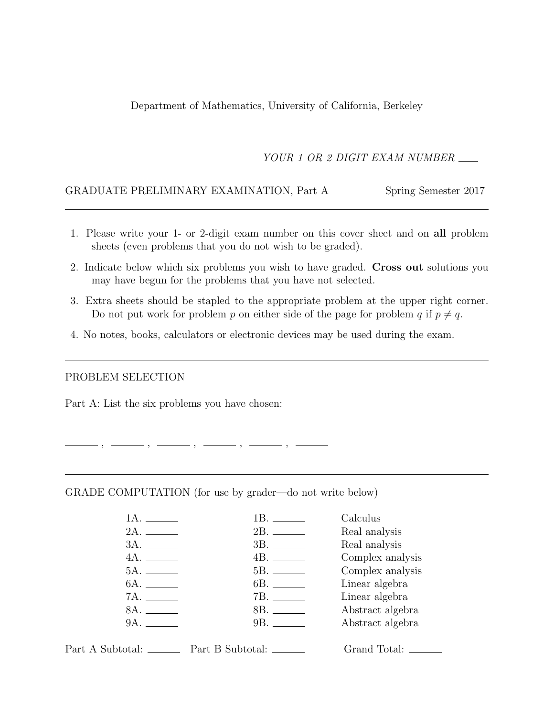Department of Mathematics, University of California, Berkeley

YOUR 1 OR 2 DIGIT EXAM NUMBER

### GRADUATE PRELIMINARY EXAMINATION, Part A Spring Semester 2017

- 1. Please write your 1- or 2-digit exam number on this cover sheet and on all problem sheets (even problems that you do not wish to be graded).
- 2. Indicate below which six problems you wish to have graded. Cross out solutions you may have begun for the problems that you have not selected.
- 3. Extra sheets should be stapled to the appropriate problem at the upper right corner. Do not put work for problem p on either side of the page for problem q if  $p \neq q$ .
- 4. No notes, books, calculators or electronic devices may be used during the exam.

#### PROBLEM SELECTION

Part A: List the six problems you have chosen:

 $, \underline{\hspace{1.5cm}}, \underline{\hspace{1.5cm}}, \underline{\hspace{1.5cm}}, \underline{\hspace{1.5cm}}, \underline{\hspace{1.5cm}}, \underline{\hspace{1.5cm}}, \underline{\hspace{1.5cm}}, \underline{\hspace{1.5cm}}, \underline{\hspace{1.5cm}}, \underline{\hspace{1.5cm}}, \underline{\hspace{1.5cm}}, \underline{\hspace{1.5cm}}, \underline{\hspace{1.5cm}}, \underline{\hspace{1.5cm}}, \underline{\hspace{1.5cm}}, \underline{\hspace{1.5cm}}, \underline{\hspace{1.5cm}}, \underline{\hspace{1.5cm}}, \underline{\hspace{1.5cm}}, \underline{\hspace{1.5cm$ 

#### GRADE COMPUTATION (for use by grader—do not write below)

| $1A$ . | 1В. — —    | Calculus         |
|--------|------------|------------------|
|        |            | Real analysis    |
|        |            | Real analysis    |
| 4A.    |            | Complex analysis |
|        |            | Complex analysis |
|        |            | Linear algebra   |
|        | 7B. ______ | Linear algebra   |
| 8A.    |            | Abstract algebra |
| 9A.    |            | Abstract algebra |
|        |            |                  |

Part A Subtotal: Part B Subtotal: Grand Total: Case of B Subtotal: Case of Grand Total: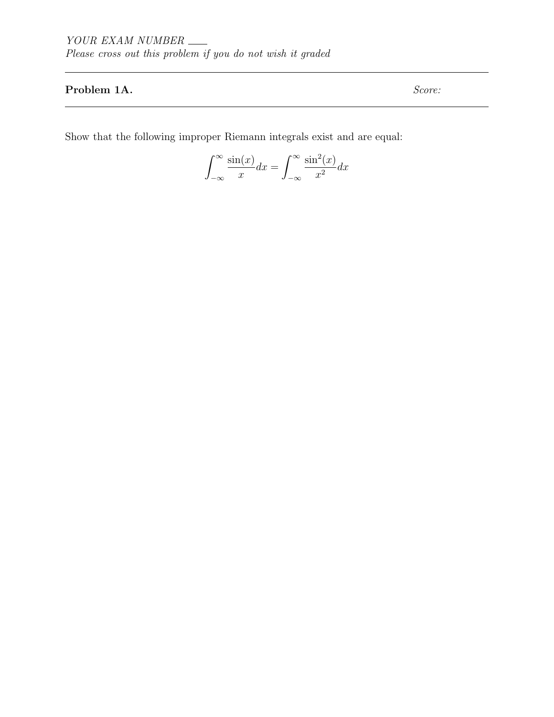# Problem 1A. Score:

Show that the following improper Riemann integrals exist and are equal:

$$
\int_{-\infty}^{\infty} \frac{\sin(x)}{x} dx = \int_{-\infty}^{\infty} \frac{\sin^2(x)}{x^2} dx
$$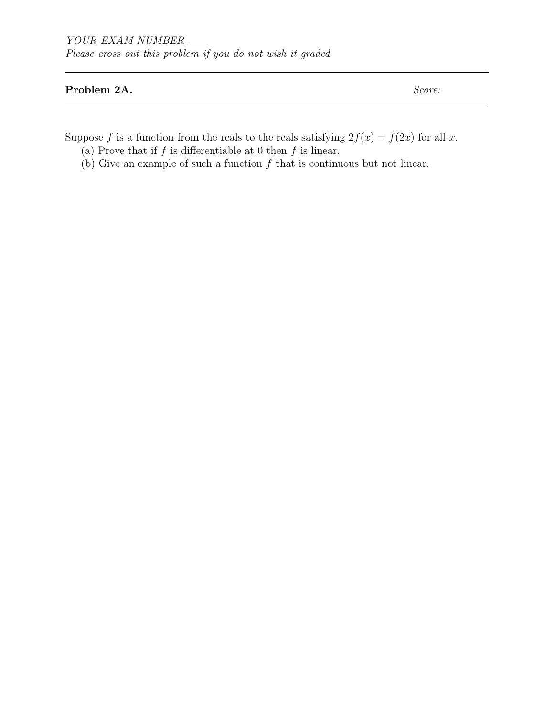# Problem 2A. Score:

Suppose f is a function from the reals to the reals satisfying  $2f(x) = f(2x)$  for all x.

- (a) Prove that if  $f$  is differentiable at 0 then  $f$  is linear.
- (b) Give an example of such a function  $f$  that is continuous but not linear.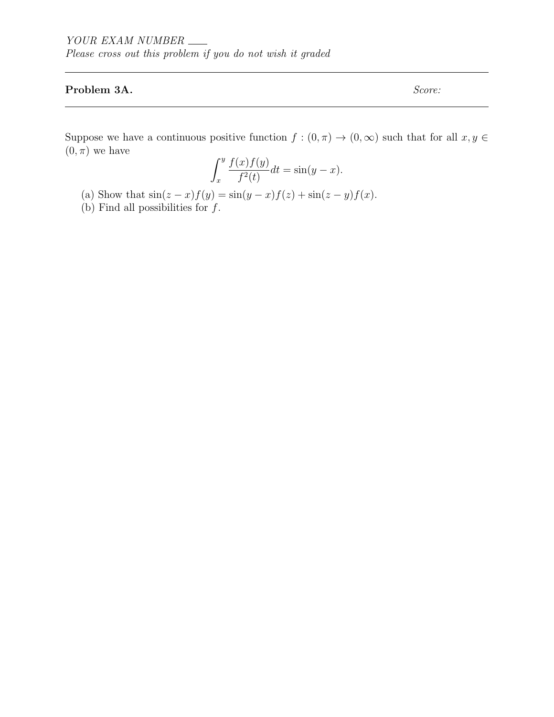# Problem 3A. Score:

Suppose we have a continuous positive function  $f : (0, \pi) \to (0, \infty)$  such that for all  $x, y \in$  $(0, \pi)$  we have

$$
\int_{x}^{y} \frac{f(x)f(y)}{f^{2}(t)} dt = \sin(y - x).
$$

- (a) Show that  $sin(z x) f(y) = sin(y x) f(z) + sin(z y) f(x)$ .
- (b) Find all possibilities for  $f$ .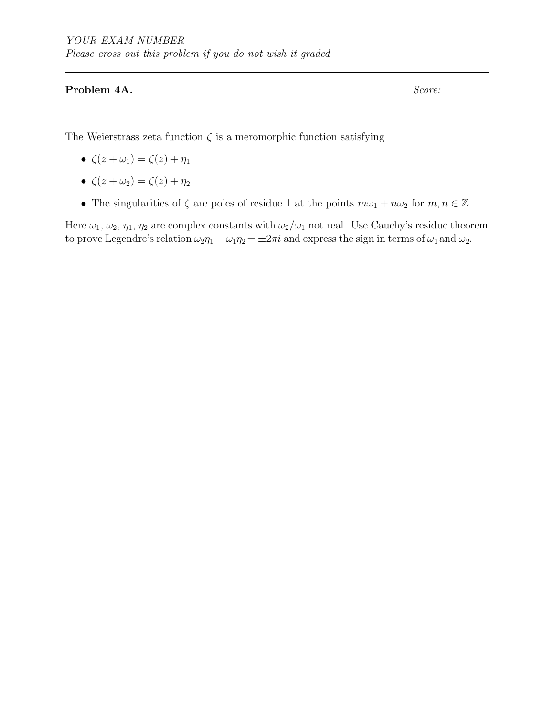# Problem 4A. Score:

The Weierstrass zeta function  $\zeta$  is a meromorphic function satisfying

- $\zeta(z+\omega_1) = \zeta(z) + \eta_1$
- $\zeta(z+\omega_2) = \zeta(z) + \eta_2$
- The singularities of  $\zeta$  are poles of residue 1 at the points  $m\omega_1 + n\omega_2$  for  $m, n \in \mathbb{Z}$

Here  $\omega_1, \omega_2, \eta_1, \eta_2$  are complex constants with  $\omega_2/\omega_1$  not real. Use Cauchy's residue theorem to prove Legendre's relation  $\omega_2 \eta_1 - \omega_1 \eta_2 = \pm 2\pi i$  and express the sign in terms of  $\omega_1$  and  $\omega_2$ .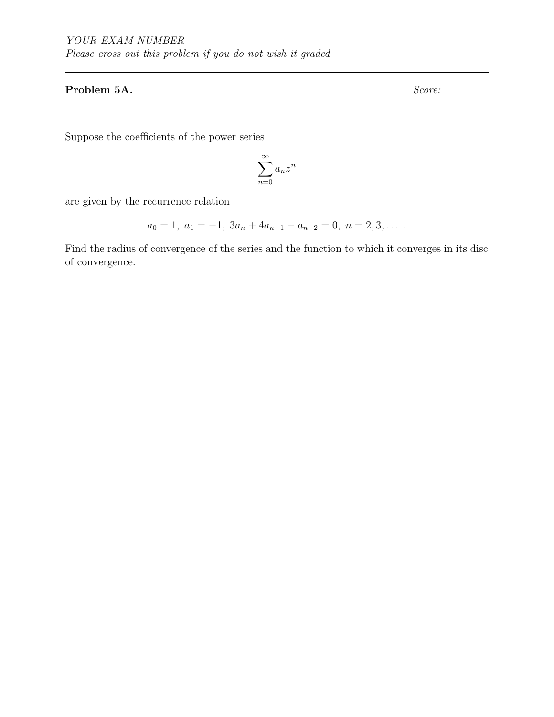# Problem 5A. Score:

Suppose the coefficients of the power series

$$
\sum_{n=0}^{\infty} a_n z^n
$$

are given by the recurrence relation

$$
a_0 = 1, \ a_1 = -1, \ 3a_n + 4a_{n-1} - a_{n-2} = 0, \ n = 2, 3, \dots
$$

Find the radius of convergence of the series and the function to which it converges in its disc of convergence.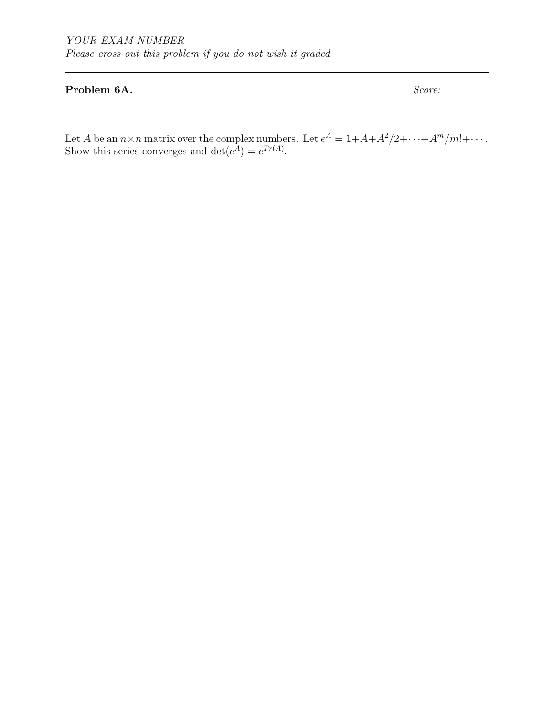## Problem 6A. Score:

Let A be an  $n \times n$  matrix over the complex numbers. Let  $e^A = 1 + A + A^2/2 + \cdots + A^m/m! + \cdots$ . Show this series converges and  $\det(e^A) = e^{Tr(A)}$ .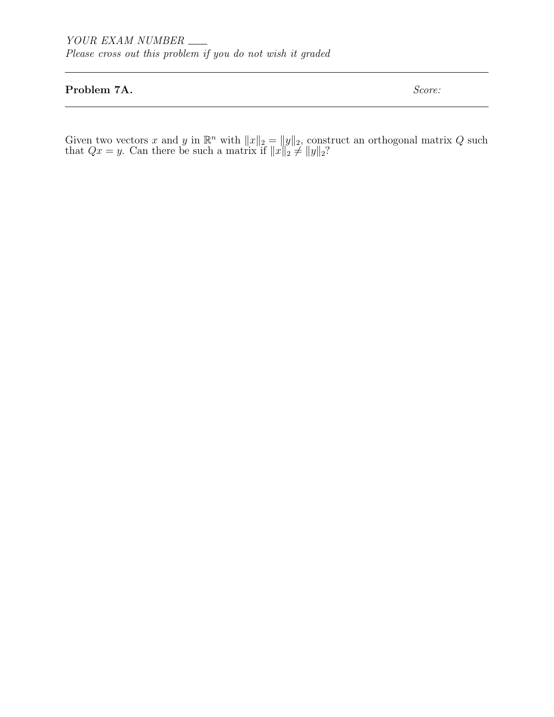### Problem 7A. Score:

Given two vectors x and y in  $\mathbb{R}^n$  with  $||x||_2 = ||y||_2$ , construct an orthogonal matrix Q such that  $Qx = y$ . Can there be such a matrix if  $||x||_2 \neq ||y||_2$ ?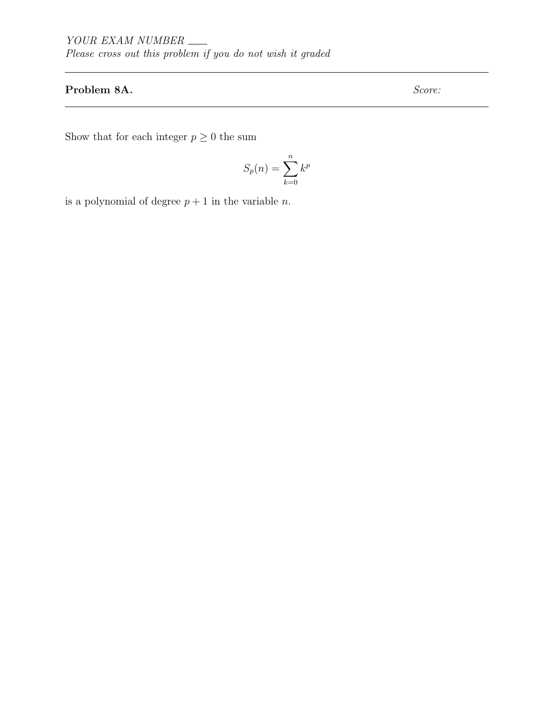# Problem 8A. Score:

Show that for each integer  $p\geq 0$  the sum

$$
S_p(n) = \sum_{k=0}^{n} k^p
$$

is a polynomial of degree  $p + 1$  in the variable *n*.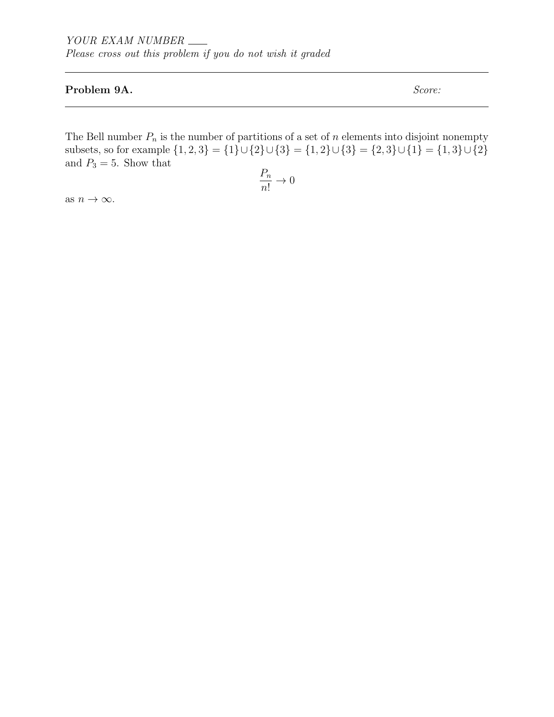## Problem 9A. Score:

The Bell number  $P_n$  is the number of partitions of a set of n elements into disjoint nonempty subsets, so for example  $\{1, 2, 3\} = \{1\} \cup \{2\} \cup \{3\} = \{1, 2\} \cup \{3\} = \{2, 3\} \cup \{1\} = \{1, 3\} \cup \{2\}$ and  $P_3 = 5$ . Show that

$$
\frac{P_n}{n!} \to 0
$$

as  $n \to \infty$ .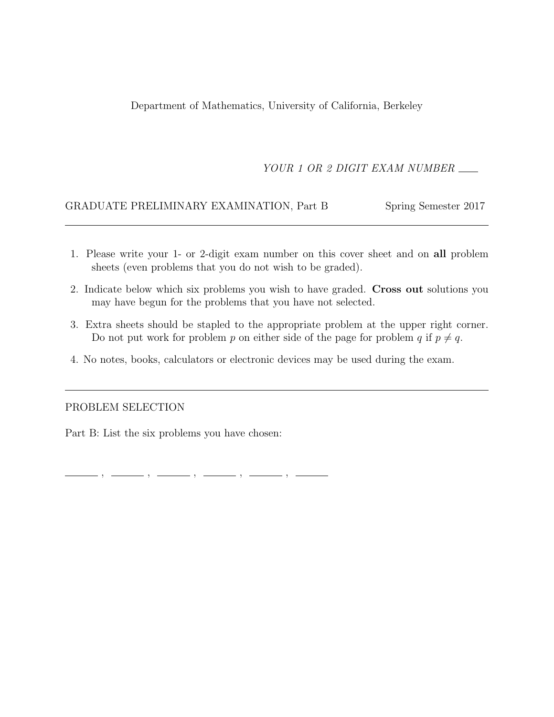Department of Mathematics, University of California, Berkeley

# YOUR 1 OR 2 DIGIT EXAM NUMBER

# GRADUATE PRELIMINARY EXAMINATION, Part B Spring Semester 2017

- 1. Please write your 1- or 2-digit exam number on this cover sheet and on all problem sheets (even problems that you do not wish to be graded).
- 2. Indicate below which six problems you wish to have graded. Cross out solutions you may have begun for the problems that you have not selected.
- 3. Extra sheets should be stapled to the appropriate problem at the upper right corner. Do not put work for problem p on either side of the page for problem q if  $p \neq q$ .
- 4. No notes, books, calculators or electronic devices may be used during the exam.

### PROBLEM SELECTION

Part B: List the six problems you have chosen:

 $, \,\, \underline{\hspace{1.5cm}}\, \,\, , \,\, \underline{\hspace{1.5cm}}\, \,\, , \,\, \underline{\hspace{1.5cm}}\, \,\, , \,\, \underline{\hspace{1.5cm}}\, \,\, , \,\, \underline{\hspace{1.5cm}}\, \,\, , \,\, \underline{\hspace{1.5cm}}\, \,\, , \,\, \underline{\hspace{1.5cm}}\, \,\, , \,\, \underline{\hspace{1.5cm}}\, \,\, , \,\, \underline{\hspace{1.5cm}}\, \,\, , \,\, \underline{\hspace{1.5cm}}\, \,\, , \,\, \underline{\hspace{1.5cm}}\, \,\,$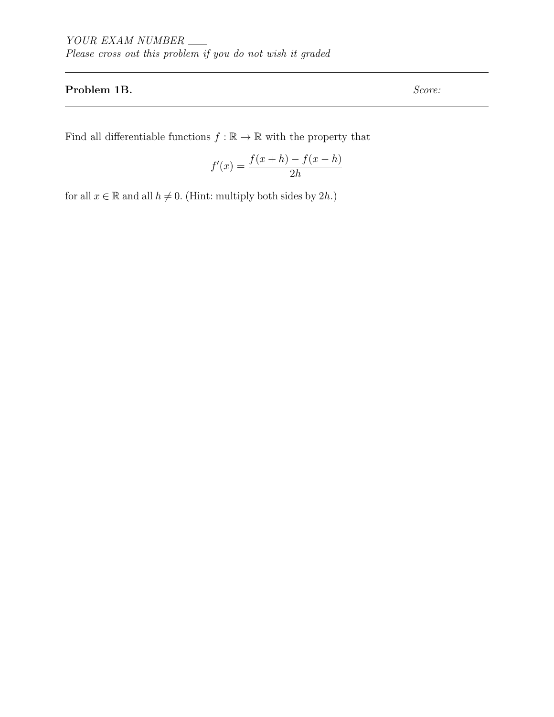## Problem 1B. Score:

Find all differentiable functions  $f : \mathbb{R} \to \mathbb{R}$  with the property that

$$
f'(x) = \frac{f(x+h) - f(x-h)}{2h}
$$

for all  $x \in \mathbb{R}$  and all  $h \neq 0$ . (Hint: multiply both sides by 2h.)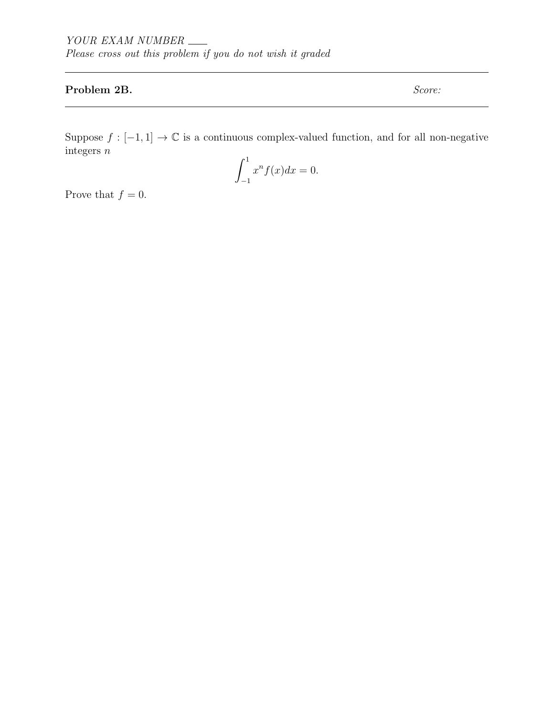## Problem 2B. Score:

Suppose  $f : [-1,1] \to \mathbb{C}$  is a continuous complex-valued function, and for all non-negative integers n

$$
\int_{-1}^{1} x^n f(x) dx = 0.
$$

Prove that  $f = 0$ .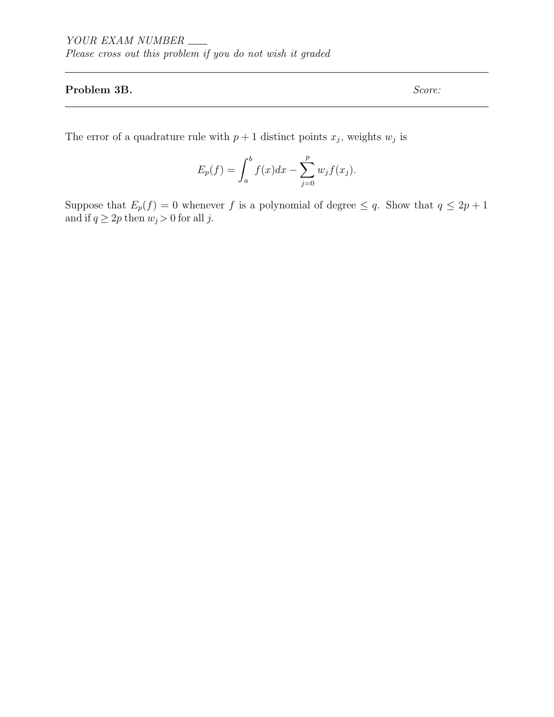### Problem 3B. Score:

The error of a quadrature rule with  $p+1$  distinct points  $x_j$ , weights  $w_j$  is

$$
E_p(f) = \int_a^b f(x)dx - \sum_{j=0}^p w_j f(x_j).
$$

Suppose that  $E_p(f) = 0$  whenever f is a polynomial of degree  $\leq q$ . Show that  $q \leq 2p + 1$ and if  $q \ge 2p$  then  $w_j > 0$  for all j.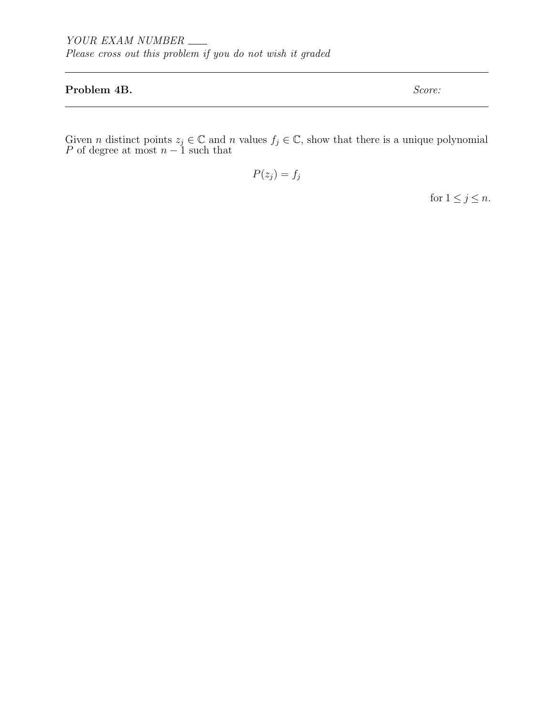### Problem 4B. Score:

Given *n* distinct points  $z_j \in \mathbb{C}$  and *n* values  $f_j \in \mathbb{C}$ , show that there is a unique polynomial P of degree at most  $n-1$  such that

 $P(z_j) = f_j$ 

for  $1 \leq j \leq n$ .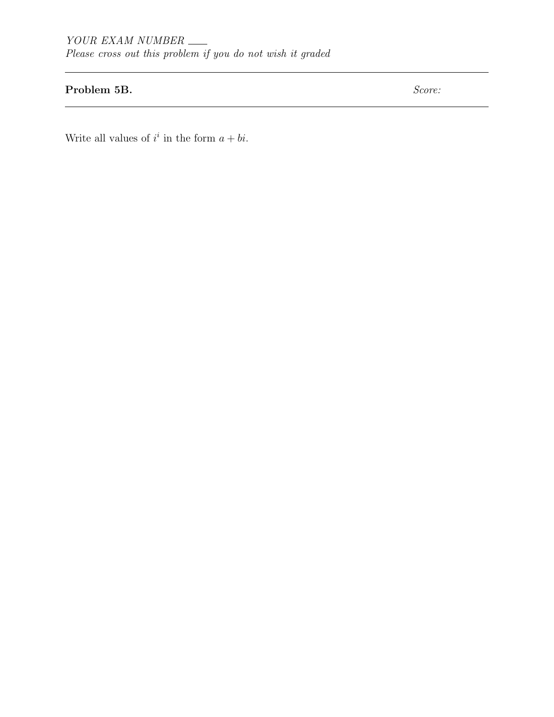# Problem 5B. Score:

Write all values of  $i^i$  in the form  $a + bi$ .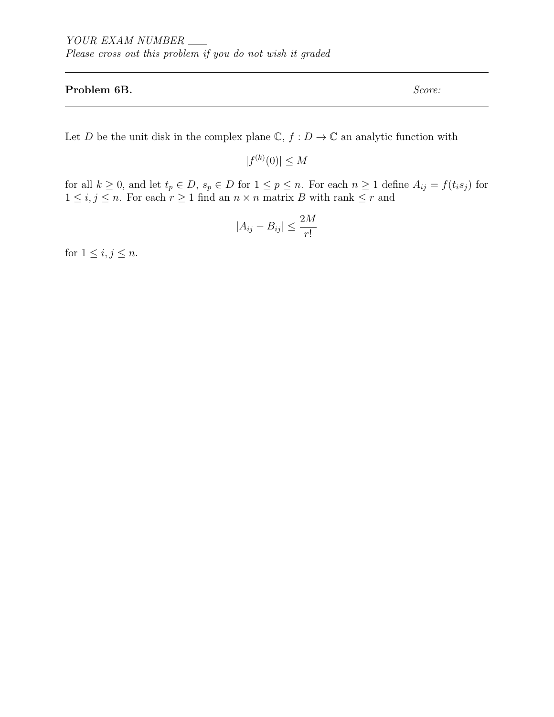#### Problem 6B. Score:

Let  $D$  be the unit disk in the complex plane  $\mathbb{C},$   $f:D\rightarrow\mathbb{C}$  an analytic function with

 $|f^{(k)}(0)| \leq M$ 

for all  $k \geq 0$ , and let  $t_p \in D$ ,  $s_p \in D$  for  $1 \leq p \leq n$ . For each  $n \geq 1$  define  $A_{ij} = f(t_i s_j)$  for  $1 \leq i, j \leq n$ . For each  $r \geq 1$  find an  $n \times n$  matrix B with rank  $\leq r$  and

$$
|A_{ij} - B_{ij}| \le \frac{2M}{r!}
$$

for  $1 \leq i, j \leq n$ .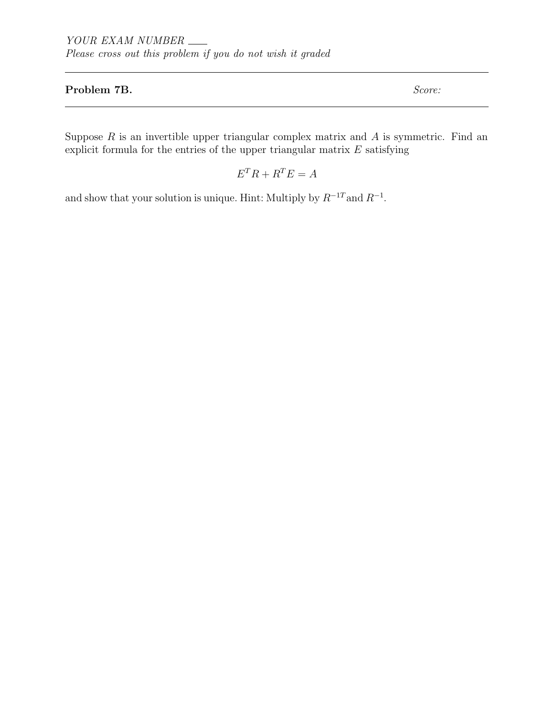### Problem 7B. Score:

Suppose  $R$  is an invertible upper triangular complex matrix and  $A$  is symmetric. Find an explicit formula for the entries of the upper triangular matrix  $E$  satisfying

$$
E^T R + R^T E = A
$$

and show that your solution is unique. Hint: Multiply by  $R^{-1}$  and  $R^{-1}$ .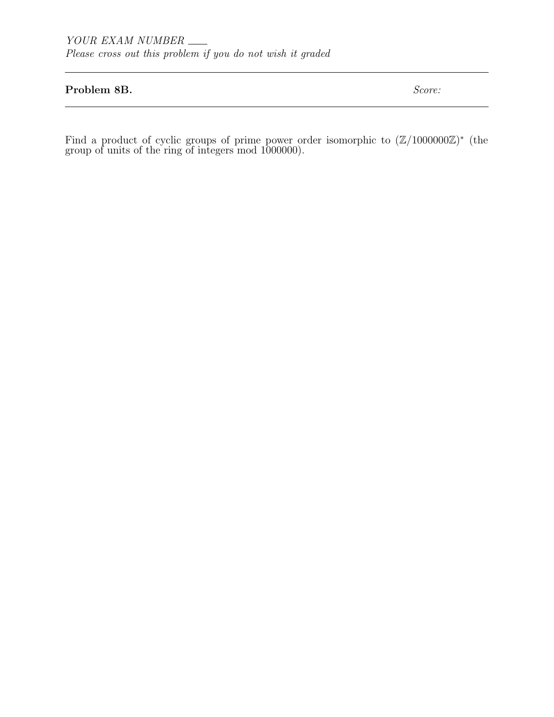### Problem 8B. Score:

Find a product of cyclic groups of prime power order isomorphic to  $(\mathbb{Z}/1000000\mathbb{Z})^*$  (the group of units of the ring of integers mod 1000000).